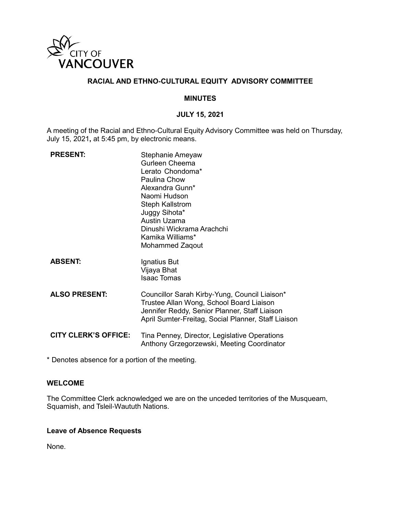

#### **RACIAL AND ETHNO-CULTURAL EQUITY ADVISORY COMMITTEE**

#### **MINUTES**

#### **JULY 15, 2021**

A meeting of the Racial and Ethno-Cultural Equity Advisory Committee was held on Thursday, July 15, 2021**,** at 5:45 pm, by electronic means.

| <b>PRESENT:</b>             | Stephanie Ameyaw<br>Gurleen Cheema<br>Lerato Chondoma*<br>Paulina Chow<br>Alexandra Gunn*<br>Naomi Hudson<br><b>Steph Kallstrom</b><br>Juggy Sihota*<br>Austin Uzama<br>Dinushi Wickrama Arachchi<br>Kamika Williams*<br><b>Mohammed Zagout</b> |
|-----------------------------|-------------------------------------------------------------------------------------------------------------------------------------------------------------------------------------------------------------------------------------------------|
| <b>ABSENT:</b>              | Ignatius But<br>Vijaya Bhat<br><b>Isaac Tomas</b>                                                                                                                                                                                               |
| <b>ALSO PRESENT:</b>        | Councillor Sarah Kirby-Yung, Council Liaison*<br>Trustee Allan Wong, School Board Liaison<br>Jennifer Reddy, Senior Planner, Staff Liaison<br>April Sumter-Freitag, Social Planner, Staff Liaison                                               |
| <b>CITY CLERK'S OFFICE:</b> | Tina Penney, Director, Legislative Operations<br>Anthony Grzegorzewski, Meeting Coordinator                                                                                                                                                     |

\* Denotes absence for a portion of the meeting.

# **WELCOME**

The Committee Clerk acknowledged we are on the unceded territories of the Musqueam, Squamish, and Tsleil-Waututh Nations.

# **Leave of Absence Requests**

None.